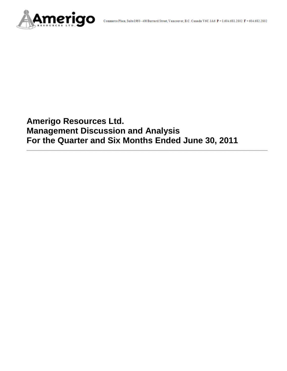

# **Amerigo Resources Ltd. Management Discussion and Analysis For the Quarter and Six Months Ended June 30, 2011**

**\_\_\_\_\_\_\_\_\_\_\_\_\_\_\_\_\_\_\_\_\_\_\_\_\_\_\_\_\_\_\_\_\_\_\_\_\_\_\_\_\_\_\_\_\_\_\_\_\_\_\_\_\_\_\_\_\_\_\_\_\_\_\_\_\_\_\_\_\_\_\_\_\_\_\_\_\_\_\_\_\_\_\_\_**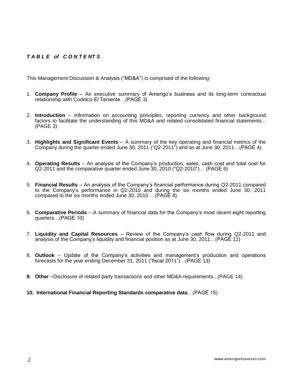# *T A B L E of C O N T E NT S*

This Management Discussion & Analysis ("MD&A") is comprised of the following:

- 1. **Company Profile**  An executive summary of Amerigo's business and its long-term contractual relationship with Codelco-El Teniente…(PAGE 3)
- 2. **Introduction**  Information on accounting principles, reporting currency and other background factors to facilitate the understanding of this MD&A and related consolidated financial statements... (PAGE 3)
- 3. **Highlights and Significant Events** A summary of the key operating and financial metrics of the Company during the quarter ended June 30, 2011 ("Q2-2011") and as at June 30, 2011…(PAGE 4)
- 4. **Operating Results** An analysis of the Company's production, sales, cash cost and total cost for Q2-2011 and the comparative quarter ended June 30, 2010 ("Q2-2010")… (PAGE 6)
- 5. **Financial Results** An analysis of the Company's financial performance during Q2-2011 compared to the Company's performance in Q2-2010 and during the six months ended June 30, 2011 compared to the six months ended June 30, 2010 …(PAGE 8)
- 6. **Comparative Periods** A summary of financial data for the Company's most recent eight reporting quarters…(PAGE 10)
- 7. **Liquidity and Capital Resources** Review of the Company's cash flow during Q2-2011 and analysis of the Company's liquidity and financial position as at June 30, 2011…(PAGE 11)
- 8. **Outlook** Update of the Company's activities and management's production and operations forecasts for the year ending December 31, 2011 ("fiscal 2011")…(PAGE 13)
- **9. Other** –Disclosure of related party transactions and other MD&A requirements...(PAGE 14)
- **10. International Financial Reporting Standards comparative data**…(PAGE 15)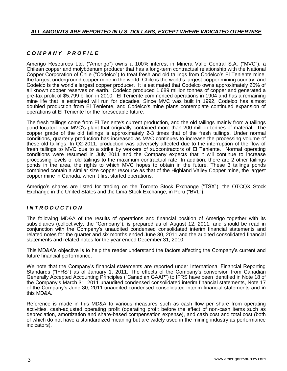## *ALL AMOUNTS ARE REPORTED IN U.S. DOLLARS, EXCEPT WHERE INDICATED OTHERWISE*

# *C O M P A N Y P R O F I L E*

Amerigo Resources Ltd. ("Amerigo") owns a 100% interest in Minera Valle Central S.A. ("MVC"), a Chilean copper and molybdenum producer that has a long-term contractual relationship with the National Copper Corporation of Chile ("Codelco") to treat fresh and old tailings from Codelco's El Teniente mine, the largest underground copper mine in the world. Chile is the world's largest copper mining country, and Codelco is the world's largest copper producer. It is estimated that Codelco owns approximately 20% of all known copper reserves on earth. Codelco produced 1.689 million tonnes of copper and generated a pre-tax profit of \$5.799 billion in 2010. El Teniente commenced operations in 1904 and has a remaining mine life that is estimated will run for decades. Since MVC was built in 1992, Codelco has almost doubled production from El Teniente, and Codelco's mine plans contemplate continued expansion of operations at El Teniente for the foreseeable future.

The fresh tailings come from El Teniente's current production, and the old tailings mainly from a tailings pond located near MVC's plant that originally contained more than 200 million tonnes of material. The copper grade of the old tailings is approximately 2-3 times that of the fresh tailings. Under normal conditions, quarterly production has increased as MVC continues to increase the processing volume of these old tailings. In Q2-2011, production was adversely affected due to the interruption of the flow of fresh tailings to MVC due to a strike by workers of subcontractors of El Teniente. Normal operating conditions were resumed in July 2011 and the Company expects that it will continue to increase processing levels of old tailings to the maximum contractual rate. In addition, there are 2 other tailings ponds in the area, the rights to which MVC hopes to obtain in the future. These 3 tailings ponds combined contain a similar size copper resource as that of the Highland Valley Copper mine, the largest copper mine in Canada, when it first started operations.

Amerigo's shares are listed for trading on the Toronto Stock Exchange ("TSX"), the OTCQX Stock Exchange in the United States and the Lima Stock Exchange, in Peru ("BVL").

# *I N T R O D U C T I O N*

The following MD&A of the results of operations and financial position of Amerigo together with its subsidiaries (collectively, the "Company"), is prepared as of August 12, 2011, and should be read in conjunction with the Company's unaudited condensed consolidated interim financial statements and related notes for the quarter and six months ended June 30, 2011 and the audited consolidated financial statements and related notes for the year ended December 31, 2010.

This MD&A's objective is to help the reader understand the factors affecting the Company's current and future financial performance.

We note that the Company's financial statements are reported under International Financial Reporting Standards ("IFRS") as of January 1, 2011. The effects of the Company's conversion from Canadian Generally Accepted Accounting Principles ("Canadian GAAP") to IFRS have been identified in Note 18 of the Company's March 31, 2011 unaudited condensed consolidated interim financial statements, Note 17 of the Company's June 30, 2011 unaudited condensed consolidated interim financial statements and in this MD&A.

Reference is made in this MD&A to various measures such as cash flow per share from operating activities, cash-adjusted operating profit (operating profit before the effect of non-cash items such as depreciation, amortization and share-based compensation expense), and cash cost and total cost (both of which do not have a standardized meaning but are widely used in the mining industry as performance indicators).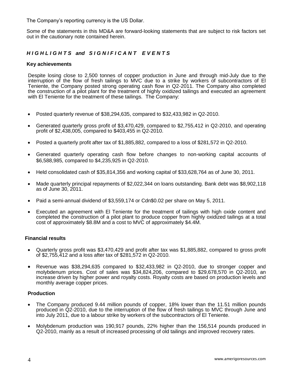The Company's reporting currency is the US Dollar.

Some of the statements in this MD&A are forward-looking statements that are subject to risk factors set out in the cautionary note contained herein.

# *H I G H L I G H T S and S I G N I F I C A N T E V E N T S*

#### **Key achievements**

Despite losing close to 2,500 tonnes of copper production in June and through mid-July due to the interruption of the flow of fresh tailings to MVC due to a strike by workers of subcontractors of El Teniente, the Company posted strong operating cash flow in Q2-2011. The Company also completed the construction of a pilot plant for the treatment of highly oxidized tailings and executed an agreement with El Teniente for the treatment of these tailings. The Company:

- Posted quarterly revenue of \$38,294,635, compared to \$32,433,982 in Q2-2010.
- Generated quarterly gross profit of \$3,470,429, compared to \$2,755,412 in Q2-2010, and operating profit of \$2,438,005, compared to \$403,455 in Q2-2010.
- Posted a quarterly profit after tax of \$1,885,882, compared to a loss of \$281,572 in Q2-2010.
- Generated quarterly operating cash flow before changes to non-working capital accounts of \$6,588,985, compared to \$4,235,925 in Q2-2010.
- Held consolidated cash of \$35,814,356 and working capital of \$33,628,764 as of June 30, 2011.
- Made quarterly principal repayments of \$2,022,344 on loans outstanding. Bank debt was \$8,902,118 as of June 30, 2011.
- Paid a semi-annual dividend of \$3,559,174 or Cdn\$0.02 per share on May 5, 2011.
- Executed an agreement with El Teniente for the treatment of tailings with high oxide content and completed the construction of a pilot plant to produce copper from highly oxidized tailings at a total cost of approximately \$8.8M and a cost to MVC of approximately \$4.4M.

#### **Financial results**

- Quarterly gross profit was \$3,470,429 and profit after tax was \$1,885,882, compared to gross profit of \$2,755,412 and a loss after tax of \$281,572 in Q2-2010.
- Revenue was \$38,294,635 compared to \$32,433,982 in Q2-2010, due to stronger copper and molybdenum prices. Cost of sales was \$34,824,206, compared to \$29,678,570 in Q2-2010, an increase driven by higher power and royalty costs. Royalty costs are based on production levels and monthly average copper prices.

#### **Production**

- The Company produced 9.44 million pounds of copper, 18% lower than the 11.51 million pounds produced in Q2-2010, due to the interruption of the flow of fresh tailings to MVC through June and into July 2011, due to a labour strike by workers of the subcontractors of El Teniente.
- Molybdenum production was 190,917 pounds, 22% higher than the 156,514 pounds produced in Q2-2010, mainly as a result of increased processing of old tailings and improved recovery rates.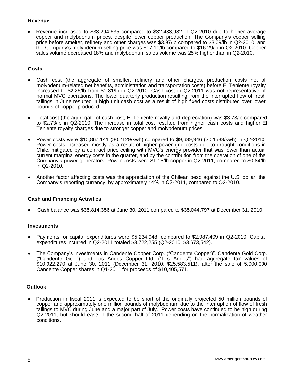# **Revenue**

 Revenue increased to \$38,294,635 compared to \$32,433,982 in Q2-2010 due to higher average copper and molybdenum prices, despite lower copper production. The Company's copper selling price before smelter, refinery and other charges was \$3.97/lb compared to \$3.09/lb in Q2-2010, and the Company's molybdenum selling price was \$17.10/lb compared to \$16.29/lb in Q2-2010. Copper sales volume decreased 18% and molybdenum sales volume was 25% higher than in Q2-2010.

# **Costs**

- Cash cost (the aggregate of smelter, refinery and other charges, production costs net of molybdenum-related net benefits, administration and transportation costs) before El Teniente royalty increased to \$2.26/lb from \$1.81/lb in Q2-2010. Cash cost in Q2-2011 was not representative of normal MVC operations. The lower quarterly production resulting from the interrupted flow of fresh tailings in June resulted in high unit cash cost as a result of high fixed costs distributed over lower pounds of copper produced.
- Total cost (the aggregate of cash cost, El Teniente royalty and depreciation) was \$3.73/lb compared to \$2.73/lb in Q2-2010. The increase in total cost resulted from higher cash costs and higher El Teniente royalty charges due to stronger copper and molybdenum prices.
- Power costs were \$10,867,141 (\$0.2129/kwh) compared to \$9,639,946 (\$0.1533/kwh) in Q2-2010. Power costs increased mostly as a result of higher power grid costs due to drought conditions in Chile, mitigated by a contract price ceiling with MVC's energy provider that was lower than actual current marginal energy costs in the quarter, and by the contribution from the operation of one of the Company's power generators. Power costs were \$1.15/lb copper in Q2-2011, compared to \$0.84/lb in Q2-2010.
- Another factor affecting costs was the appreciation of the Chilean peso against the U.S. dollar, the Company's reporting currency, by approximately 14% in Q2-2011, compared to Q2-2010.

# **Cash and Financing Activities**

Cash balance was \$35,814,356 at June 30, 2011 compared to \$35,044,797 at December 31, 2010.

#### **Investments**

- Payments for capital expenditures were \$5,234,948, compared to \$2,987,409 in Q2-2010. Capital expenditures incurred in Q2-2011 totaled \$3,722,255 (Q2-2010: \$3,673,542).
- The Company's investments in Candente Copper Corp. ("Candente Copper)", Candente Gold Corp. ("Candente Gold") and Los Andes Copper Ltd. ("Los Andes") had aggregate fair values of \$10,922,270 at June 30, 2011 (December 31, 2010: \$25,583,511), after the sale of 5,000,000 Candente Copper shares in Q1-2011 for proceeds of \$10,405,571.

# **Outlook**

• Production in fiscal 2011 is expected to be short of the originally projected 50 million pounds of copper and approximately one million pounds of molybdenum due to the interruption of flow of fresh tailings to MVC during June and a major part of July. Power costs have continued to be high during Q2-2011, but should ease in the second half of 2011 depending on the normalization of weather conditions.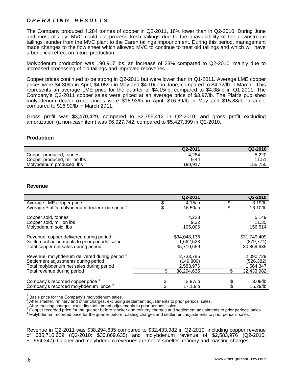# *O P E R A T I N G R E S U L T S*

The Company produced 4,284 tonnes of copper in Q2-2011, 18% lower than in Q2-2010. During June and most of July, MVC could not process fresh tailings due to the unavailability of the downstream tailings launder from the MVC plant to the Caren tailings impoundment. During this period, management made changes to the flow sheet which allowed MVC to continue to treat old tailings and which will have a beneficial effect on future production.

Molybdenum production was 190,917 lbs, an increase of 23% compared to Q2-2010, mainly due to increased processing of old tailings and improved recoveries.

Copper prices continued to be strong in Q2-2011 but were lower than in Q1-2011. Average LME copper prices were \$4.30/lb in April, \$4.05/lb in May and \$4.10/lb in June, compared to \$4.32/lb in March. This represents an average LME price for the quarter of \$4.15/lb, compared to \$4.38/lb in Q1-2011. The Company's Q2-2011 copper sales were priced at an average price of \$3.97/lb. The Platt's published molybdenum dealer oxide prices were \$16.93/lb in April, \$16.69/lb in May and \$15.88/lb in June, compared to \$16.90/lb in March 2011.

Gross profit was \$3,470,429, compared to \$2,755,412 in Q2-2010, and gross profit excluding amortization (a non-cash item) was \$6,927,742, compared to \$5,427,399 in Q2-2010.

#### **Production**

|                              | Q2-2011 | Q2-2010 |
|------------------------------|---------|---------|
| Copper produced, tonnes      | 4.284   | 5,220   |
| Copper produced, million lbs | 9.44    | 11.51   |
| Molybdenum produced, lbs     | 190,917 | 155.755 |

#### **Revenue**

|                                                                                                                                                                             | Q2-2011                                           | Q2-2010                                            |
|-----------------------------------------------------------------------------------------------------------------------------------------------------------------------------|---------------------------------------------------|----------------------------------------------------|
| Average LME copper price<br>Average Platt's molybdenum dealer oxide price 1                                                                                                 | \$<br>4.15/lb<br>16.50/lb                         | \$<br>$3.19$ /lb<br>16.10/lb                       |
| Copper sold, tonnes<br>Copper sold, million lbs<br>Molybdenum sold, lbs                                                                                                     | 4,228<br>9.32<br>195,006                          | 5,149<br>11.35<br>156,514                          |
| Revenue, copper delivered during period <sup>2</sup><br>Settlement adjustments to prior periods' sales<br>Total copper net sales during period                              | \$34,048,136<br>1,662,523<br>35,710,659           | \$31,749,409<br>(879, 774)<br>30,869,635           |
| Revenue, molybdenum delivered during period <sup>3</sup><br>Settlement adjustments during period<br>Total molybdenum net sales during period<br>Total revenue during period | 2,733,785<br>(149,809)<br>2,583,976<br>38,294,635 | 2,090,729<br>(526, 382)<br>1,564,347<br>32,433,982 |
| Company's recorded copper price <sup>4</sup><br>Company's recorded molybdenum price <sup>o</sup>                                                                            | $3.97$ /lb<br>17.10/lb                            | 3.09/lb<br>16.29/lb                                |

1 Basis price for the Company's molybdenum sales. 2

After smelter, refinery and other charges, excluding settlement adjustments to prior periods' sales. 3

After roasting charges, excluding settlement adjustments to prior periods' sales.

4 Copper recorded price for the quarter before smelter and refinery charges and settlement adjustments to prior periods' sales.

<sup>5</sup> Molybdenum recorded price for the quarter before roasting charges and settlement adjustments to prior periods' sales.

Revenue in Q2-2011 was \$38,294,635 compared to \$32,433,982 in Q2-2010, including copper revenue of \$35,710,659 (Q2-2010: \$30,869,635) and molybdenum revenue of \$2,583,976 (Q2-2010: \$1,564,347). Copper and molybdenum revenues are net of smelter, refinery and roasting charges.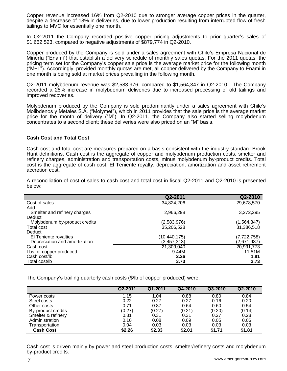Copper revenue increased 16% from Q2-2010 due to stronger average copper prices in the quarter, despite a decrease of 18% in deliveries, due to lower production resulting from interrupted flow of fresh tailings to MVC for essentially one month.

In Q2-2011 the Company recorded positive copper pricing adjustments to prior quarter's sales of \$1,662,523, compared to negative adjustments of \$879,774 in Q2-2010.

Copper produced by the Company is sold under a sales agreement with Chile's Empresa Nacional de Minería ("Enami") that establish a delivery schedule of monthly sales quotas. For the 2011 quotas, the pricing term set for the Company's copper sale price is the average market price for the following month ("M+1"). Accordingly, provided monthly quotas are met, all copper delivered by the Company to Enami in one month is being sold at market prices prevailing in the following month.

Q2-2011 molybdenum revenue was \$2,583,976, compared to \$1,564,347 in Q2-2010. The Company recorded a 25% increase in molybdenum deliveries due to increased processing of old tailings and improved recoveries.

Molybdenum produced by the Company is sold predominantly under a sales agreement with Chile's Molibdenos y Metales S.A. ("Molymet"), which in 2011 provides that the sale price is the average market price for the month of delivery ("M"). In Q2-2011, the Company also started selling molybdenum concentrates to a second client; these deliveries were also priced on an "M" basis.

## **Cash Cost and Total Cost**

Cash cost and total cost are measures prepared on a basis consistent with the industry standard Brook Hunt definitions. Cash cost is the aggregate of copper and molybdenum production costs, smelter and refinery charges, administration and transportation costs, minus molybdenum by-product credits. Total cost is the aggregate of cash cost, El Teniente royalty, depreciation, amortization and asset retirement accretion cost.

A reconciliation of cost of sales to cash cost and total cost in fiscal Q2-2011 and Q2-2010 is presented below:

|                               | Q2-2011       | Q2-2010     |
|-------------------------------|---------------|-------------|
| Cost of sales                 | 34,824,206    | 29,678,570  |
| Add:                          |               |             |
| Smelter and refinery charges  | 2,966,298     | 3,272,295   |
| Deduct:                       |               |             |
| Molybdenum by-product credits | (2,583,976)   | (1,564,347) |
| Total cost                    | 35,206,528    | 31,386,518  |
| Deduct:                       |               |             |
| El Teniente royalties         | (10,440,175)  | (7,722,758) |
| Depreciation and amortization | (3, 457, 313) | (2,671,987) |
| Cash cost                     | 21,309,040    | 20,991,773  |
| Lbs. of copper produced       | 9.44M         | 11.51M      |
| Cash cost/lb                  | 2.26          | 1.81        |
| Total cost/lb                 | 3.73          | 2.73        |

The Company's trailing quarterly cash costs (\$/lb of copper produced) were:

|                    | Q2-2011 | Q1-2011 | Q4-2010 | Q3-2010 | Q2-2010 |
|--------------------|---------|---------|---------|---------|---------|
| Power costs        | 1.15    | 1.04    | 0.88    | 0.80    | 0.84    |
| Steel costs        | 0.22    | 0.27    | 0.27    | 0.16    | 0.20    |
| Other costs        | 0.71    | 0.87    | 0.64    | 0.60    | 0.54    |
| By-product credits | (0.27)  | (0.27)  | (0.21)  | (0.20)  | (0.14)  |
| Smelter & refinery | 0.31    | 0.31    | 0.31    | 0.27    | 0.28    |
| Administration     | 0.10    | 0.08    | 0.09    | 0.05    | 0.06    |
| Transportation     | 0.04    | 0.03    | 0.03    | 0.03    | 0.03    |
| <b>Cash Cost</b>   | \$2.26  | \$2.33  | \$2.01  | \$1.71  | \$1.81  |

Cash cost is driven mainly by power and steel production costs, smelter/refinery costs and molybdenum by-product credits.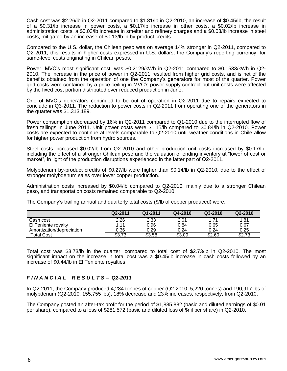Cash cost was \$2.26/lb in Q2-2011 compared to \$1.81/lb in Q2-2010, an increase of \$0.45/lb, the result of a \$0.31/lb increase in power costs, a \$0.17/lb increase in other costs, a \$0.02/lb increase in administration costs, a \$0.03/lb increase in smelter and refinery charges and a \$0.03/lb increase in steel costs, mitigated by an increase of \$0.13/lb in by-product credits.

Compared to the U.S. dollar, the Chilean peso was on average 14% stronger in Q2-2011, compared to Q2-2011; this results in higher costs expressed in U.S. dollars, the Company's reporting currency, for same-level costs originating in Chilean pesos.

Power, MVC's most significant cost, was \$0.2129/kWh in Q2-2011 compared to \$0.1533/kWh in Q2- 2010. The increase in the price of power in Q2-2011 resulted from higher grid costs, and is net of the benefits obtained from the operation of one the Company's generators for most of the quarter. Power grid costs were contained by a price ceiling in MVC's power supply contract but unit costs were affected by the fixed cost portion distributed over reduced production in June.

One of MVC's generators continued to be out of operation in Q2-2011 due to repairs expected to conclude in Q3-2011. The reduction to power costs in Q2-2011 from operating one of the generators in the quarter was \$1,313,189.

Power consumption decreased by 16% in Q2-2011 compared to Q1-2010 due to the interrupted flow of fresh tailings in June 2011. Unit power costs were \$1.15/lb compared to \$0.84/lb in Q2-2010. Power costs are expected to continue at levels comparable to Q2-2010 until weather conditions in Chile allow for higher power production from hydro sources.

Steel costs increased \$0.02/lb from Q2-2010 and other production unit costs increased by \$0.17/lb, including the effect of a stronger Chilean peso and the valuation of ending inventory at "lower of cost or market", in light of the production disruptions experienced in the latter part of Q2-2011.

Molybdenum by-product credits of \$0.27/lb were higher than \$0.14/lb in Q2-2010, due to the effect of stronger molybdenum sales over lower copper production.

Administration costs increased by \$0.04/lb compared to Q2-2010, mainly due to a stronger Chilean peso, and transportation costs remained comparable to Q2-2010.

The Company's trailing annual and quarterly total costs (\$/lb of copper produced) were:

|                           | Q2-2011 | Q1-2011 | Q4-2010 | Q3-2010 | Q2-2010 |
|---------------------------|---------|---------|---------|---------|---------|
| Cash cost                 | 2.26    | 2.33    | 2.01    | 1.71    | 1.81    |
| El Teniente royalty       | 1.11    | 0.96    | 0.84    | 0.65    | 0.67    |
| Amortization/depreciation | 0.36    | 0.29    | 0.24    | 0.24    | 0.25    |
| <b>Total Cost</b>         | \$3.73  | \$3.58  | \$3.09  | \$2.60  | \$2.73  |

Total cost was \$3.73/lb in the quarter, compared to total cost of \$2.73/lb in Q2-2010. The most significant impact on the increase in total cost was a \$0.45/lb increase in cash costs followed by an increase of \$0.44/lb in El Teniente royalties.

# *F I N A N C I A L R E S U L T S – Q2-2011*

In Q2-2011, the Company produced 4,284 tonnes of copper (Q2-2010: 5,220 tonnes) and 190,917 lbs of molybdenum (Q2-2010: 155,755 lbs), 18% decrease and 23% increases, respectively, from Q2-2010.

The Company posted an after-tax profit for the period of \$1,885,882 (basic and diluted earnings of \$0.01 per share), compared to a loss of \$281,572 (basic and diluted loss of \$nil per share) in Q2-2010.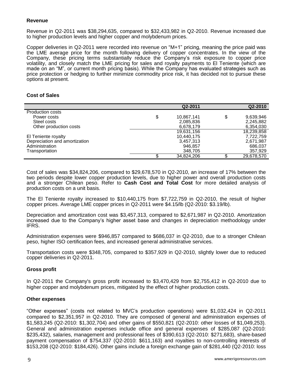# **Revenue**

Revenue in Q2-2011 was \$38,294,635, compared to \$32,433,982 in Q2-2010. Revenue increased due to higher production levels and higher copper and molybdenum prices.

Copper deliveries in Q2-2011 were recorded into revenue on "M+1" pricing, meaning the price paid was the LME average price for the month following delivery of copper concentrates. In the view of the Company, these pricing terms substantially reduce the Company's risk exposure to copper price volatility, and closely match the LME pricing for sales and royalty payments to El Teniente (which are made on an "M", or current month pricing basis). While the Company has evaluated strategies such as price protection or hedging to further minimize commodity price risk, it has decided not to pursue these options at present.

## **Cost of Sales**

|                               | Q2-2011          | Q2-2010         |
|-------------------------------|------------------|-----------------|
| Production costs              |                  |                 |
| Power costs                   | \$<br>10,867,141 | \$<br>9,639,946 |
| Steel costs                   | 2,085,836        | 2,245,882       |
| Other production costs        | 6,678,179        | 6,354,030       |
|                               | 19,631,156       | 18,239,858      |
| El Teniente royalty           | 10,440,175       | 7,722,759       |
| Depreciation and amortization | 3,457,313        | 2,671,987       |
| Administration                | 946,857          | 686,037         |
| Transportation                | 348,705          | 357,929         |
|                               | 34,824,206       | 29,678,570      |

Cost of sales was \$34,824,206, compared to \$29,678,570 in Q2-2010, an increase of 17% between the two periods despite lower copper production levels, due to higher power and overall production costs and a stronger Chilean peso. Refer to **Cash Cost and Total Cost** for more detailed analysis of production costs on a unit basis.

The El Teniente royalty increased to \$10,440,175 from \$7,722,759 in Q2-2010, the result of higher copper prices. Average LME copper prices in Q2-2011 were \$4.15/lb (Q2-2010: \$3.19/lb).

Depreciation and amortization cost was \$3,457,313, compared to \$2,671,987 in Q2-2010. Amortization increased due to the Company's higher asset base and changes in depreciation methodology under IFRS.

Administration expenses were \$946,857 compared to \$686,037 in Q2-2010, due to a stronger Chilean peso, higher ISO certification fees, and increased general administrative services.

Transportation costs were \$348,705, compared to \$357,929 in Q2-2010, slightly lower due to reduced copper deliveries in Q2-2011.

#### **Gross profit**

In Q2-2011 the Company's gross profit increased to \$3,470,429 from \$2,755,412 in Q2-2010 due to higher copper and molybdenum prices, mitigated by the effect of higher production costs.

#### **Other expenses**

"Other expenses" (costs not related to MVC's production operations) were \$1,032,424 in Q2-2011 compared to \$2,351,957 in Q2-2010. They are composed of general and administration expenses of \$1,583,245 (Q2-2010: \$1,302,704) and other gains of \$550,821 (Q2-2010: other losses of \$1,049,253). General and administration expenses include office and general expenses of \$285,087 (Q2-2010: \$235,432), salaries, management and professional fees of \$390,613 (Q2-2010: \$271,683), share-based payment compensation of \$754,337 (Q2-2010: \$611,163) and royalties to non-controlling interests of \$153,208 (Q2-2010: \$184,426). Other gains include a foreign exchange gain of \$281,440 (Q2-2010: loss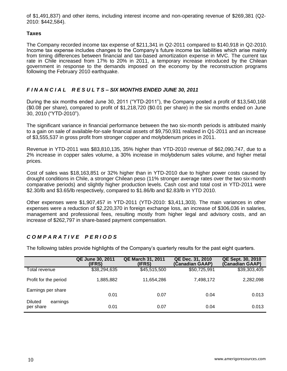of \$1,491,837) and other items, including interest income and non-operating revenue of \$269,381 (Q2- 2010: \$442,584).

# **Taxes**

The Company recorded income tax expense of \$211,341 in Q2-2011 compared to \$140,918 in Q2-2010. Income tax expense includes changes to the Company's future income tax liabilities which arise mainly from timing differences between financial and tax-based amortization expense in MVC. The current tax rate in Chile increased from 17% to 20% in 2011, a temporary increase introduced by the Chilean government in response to the demands imposed on the economy by the reconstruction programs following the February 2010 earthquake.

# *F I N A N C I A L R E S U L T S – SIX MONTHS ENDED JUNE 30, 2011*

During the six months ended June 30, 2011 ("YTD-2011"), the Company posted a profit of \$13,540,168 (\$0.08 per share), compared to profit of \$1,218,720 (\$0.01 per share) in the six months ended on June 30, 2010 ("YTD-2010").

The significant variance in financial performance between the two six-month periods is attributed mainly to a gain on sale of available-for-sale financial assets of \$9,750,931 realized in Q1-2011 and an increase of \$3,555,537 in gross profit from stronger copper and molybdenum prices in 2011.

Revenue in YTD-2011 was \$83,810,135, 35% higher than YTD-2010 revenue of \$62,090,747, due to a 2% increase in copper sales volume, a 30% increase in molybdenum sales volume, and higher metal prices.

Cost of sales was \$18,163,851 or 32% higher than in YTD-2010 due to higher power costs caused by drought conditions in Chile, a stronger Chilean peso (11% stronger average rates over the two six-month comparative periods) and slightly higher production levels. Cash cost and total cost in YTD-2011 were \$2.30/lb and \$3.65/lb respectively, compared to \$1.86/lb and \$2.83/lb in YTD 2010.

Other expenses were \$1,907,457 in YTD-2011 (YTD-2010: \$3,411,303). The main variances in other expenses were a reduction of \$2,220,370 in foreign exchange loss, an increase of \$306,036 in salaries, management and professional fees, resulting mostly from higher legal and advisory costs, and an increase of \$262,797 in share-based payment compensation.

# *C O M P A R A T I V E P E R I O D S*

The following tables provide highlights of the Company's quarterly results for the past eight quarters.

|                                         | <b>QE June 30, 2011</b><br>(IFRS) | <b>QE March 31, 2011</b><br>(IFRS) | QE Dec. 31, 2010<br>(Canadian GAAP) | QE Sept. 30, 2010<br>(Canadian GAAP) |
|-----------------------------------------|-----------------------------------|------------------------------------|-------------------------------------|--------------------------------------|
| Total revenue                           | \$38,294,635                      | \$45,515,500                       | \$50,725,991                        | \$39,303,405                         |
| Profit for the period                   | 1,885,882                         | 11,654,286                         | 7,498,172                           | 2,282,098                            |
| Earnings per share                      | 0.01                              | 0.07                               | 0.04                                | 0.013                                |
| <b>Diluted</b><br>earnings<br>per share | 0.01                              | 0.07                               | 0.04                                | 0.013                                |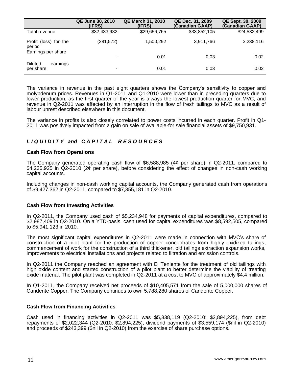|                                                       | <b>QE June 30, 2010</b><br>(IFRS) | <b>QE March 31, 2010</b><br>(IFRS) | QE Dec. 31, 2009<br>(Canadian GAAP) | QE Sept. 30, 2009<br>(Canadian GAAP) |
|-------------------------------------------------------|-----------------------------------|------------------------------------|-------------------------------------|--------------------------------------|
| Total revenue                                         | \$32,433,982                      | \$29,656,765                       | \$33,852,105                        | \$24,532,499                         |
| Profit (loss) for the<br>period<br>Earnings per share | (281,572)                         | 1,500,292                          | 3,911,766                           | 3,238,116                            |
|                                                       | ۰                                 | 0.01                               | 0.03                                | 0.02                                 |
| <b>Diluted</b><br>earnings<br>per share               | ۰                                 | 0.01                               | 0.03                                | 0.02                                 |

The variance in revenue in the past eight quarters shows the Company's sensitivity to copper and molybdenum prices. Revenues in Q1-2011 and Q1-2010 were lower than in preceding quarters due to lower production, as the first quarter of the year is always the lowest production quarter for MVC, and revenue in Q2-2011 was affected by an interruption in the flow of fresh tailings to MVC as a result of labour unrest described elsewhere in this document.

The variance in profits is also closely correlated to power costs incurred in each quarter. Profit in Q1- 2011 was positively impacted from a gain on sale of available-for sale financial assets of \$9,750,931.

# *L I Q U I D I T Y and C A P I T A L R E S O U R C E S*

#### **Cash Flow from Operations**

The Company generated operating cash flow of \$6,588,985 (4¢ per share) in Q2-2011, compared to \$4,235,925 in Q2-2010 (2¢ per share), before considering the effect of changes in non-cash working capital accounts.

Including changes in non-cash working capital accounts, the Company generated cash from operations of \$9,427,362 in Q2-2011, compared to \$7,355,181 in Q2-2010.

#### **Cash Flow from Investing Activities**

In Q2-2011, the Company used cash of \$5,234,948 for payments of capital expenditures, compared to \$2,987,409 in Q2-2010. On a YTD-basis, cash used for capital expenditures was \$8,592,505, compared to \$5,941,123 in 2010.

The most significant capital expenditures in Q2-2011 were made in connection with MVC's share of construction of a pilot plant for the production of copper concentrates from highly oxidized tailings, commencement of work for the construction of a third thickener, old tailings extraction expansion works, improvements to electrical installations and projects related to filtration and emission controls.

In Q2-2011 the Company reached an agreement with El Teniente for the treatment of old tailings with high oxide content and started construction of a pilot plant to better determine the viability of treating oxide material. The pilot plant was completed in Q2-2011 at a cost to MVC of approximately \$4.4 million.

In Q1-2011, the Company received net proceeds of \$10,405,571 from the sale of 5,000,000 shares of Candente Copper. The Company continues to own 5,788,280 shares of Candente Copper.

#### **Cash Flow from Financing Activities**

Cash used in financing activities in Q2-2011 was \$5,338,119 (Q2-2010: \$2,894,225), from debt repayments of \$2,022,344 (Q2-2010: \$2,894,225), dividend payments of \$3,559,174 (\$nil in Q2-2010) and proceeds of \$243,399 (\$nil in Q2-2010) from the exercise of share purchase options.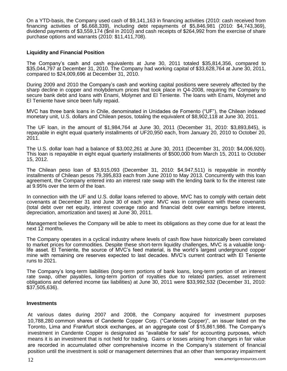On a YTD-basis, the Company used cash of \$9,141,163 in financing activities (2010: cash received from financing activities of \$6,668,339), including debt repayments of \$5,846,981 (2010: \$4,743,369), dividend payments of \$3,559,174 (\$nil in 2010) and cash receipts of \$264,992 from the exercise of share purchase options and warrants (2010: \$11,411,708).

## **Liquidity and Financial Position**

The Company's cash and cash equivalents at June 30, 2011 totaled \$35,814,356, compared to \$35,044,797 at December 31, 2010. The Company had working capital of \$33,628,764 at June 30, 2011, compared to \$24,009,696 at December 31, 2010.

During 2009 and 2010 the Company's cash and working capital positions were severely affected by the sharp decline in copper and molybdenum prices that took place in Q4-2008, requiring the Company to secure bank debt and loans with Enami, Molymet and El Teniente. The loans with Enami, Molymet and El Teniente have since been fully repaid.

MVC has three bank loans in Chile, denominated in Unidades de Fomento ("UF"), the Chilean indexed monetary unit, U.S. dollars and Chilean pesos, totaling the equivalent of \$8,902,118 at June 30, 2011.

The UF loan, in the amount of \$1,984,764 at June 30, 2011 (December 31, 2010: \$3,893,845), is repayable in eight equal quarterly installments of UF20,950 each, from January 20, 2010 to October 20, 2011.

The U.S. dollar loan had a balance of \$3,002,261 at June 30, 2011 (December 31, 2010: \$4,006,920). This loan is repayable in eight equal quarterly installments of \$500,000 from March 15, 2011 to October 15, 2012.

The Chilean peso loan of \$3,915,093 (December 31, 2010: \$4,947,511) is repayable in monthly installments of Chilean pesos 79,395,833 each from June 2010 to May 2013. Concurrently with this loan agreement, the Company entered into an interest rate swap with the lending bank to fix the interest rate at 9.95% over the term of the loan.

In connection with the UF and U.S. dollar loans referred to above, MVC has to comply with certain debt covenants at December 31 and June 30 of each year. MVC was in compliance with these covenants (total debt over net equity, interest coverage ratio and financial debt over earnings before interest, depreciation, amortization and taxes) at June 30, 2011.

Management believes the Company will be able to meet its obligations as they come due for at least the next 12 months.

The Company operates in a cyclical industry where levels of cash flow have historically been correlated to market prices for commodities. Despite these short-term liquidity challenges, MVC is a valuable longlife asset. El Teniente, the source of MVC's feed material, is the world's largest underground copper mine with remaining ore reserves expected to last decades. MVC's current contract with El Teniente runs to 2021.

The Company's long-term liabilities (long-term portions of bank loans, long-term portion of an interest rate swap, other payables, long-term portion of royalties due to related parties, asset retirement obligations and deferred income tax liabilities) at June 30, 2011 were \$33,992,532 (December 31, 2010: \$37,505,636).

#### **Investments**

At various dates during 2007 and 2008, the Company acquired for investment purposes 10,788,280 common shares of Candente Copper Corp. ("Candente Copper)", an issuer listed on the Toronto, Lima and Frankfurt stock exchanges, at an aggregate cost of \$15,861,986. The Company's investment in Candente Copper is designated as "available for sale" for accounting purposes, which means it is an investment that is not held for trading. Gains or losses arising from changes in fair value are recorded in accumulated other comprehensive income in the Company's statement of financial position until the investment is sold or management determines that an other than temporary impairment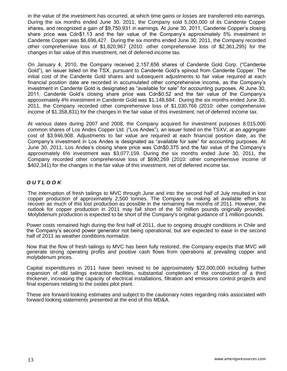in the value of the investment has occurred, at which time gains or losses are transferred into earnings. During the six months ended June 30, 2011, the Company sold 5,000,000 of its Candente Copper shares, and recognized a gain of \$9,750,931 in earnings. At June 30, 2011, Candente Copper's closing share price was Cdn\$1.13 and the fair value of the Company's approximately 5% investment in Candente Copper was \$6,696,427. During the six months ended June 30, 2011, the Company recorded other comprehensive loss of \$1,820,967 (2010: other comprehensive loss of \$2,361,295) for the changes in fair value of this investment, net of deferred income tax.

On January 4, 2010, the Company received 2,157,656 shares of Candente Gold Corp. ("Candente Gold"), an issuer listed on the TSX, pursuant to Candente Gold's spinout from Candente Copper. The initial cost of the Candente Gold shares and subsequent adjustments to fair value required at each financial position date are recorded in accumulated other comprehensive income, as the Company's investment in Candente Gold is designated as "available for sale" for accounting purposes. At June 30, 2011, Candente Gold's closing share price was Cdn\$0.52 and the fair value of the Company's approximately 4% investment in Candente Gold was \$1,148,684. During the six months ended June 30, 2011, the Company recorded other comprehensive loss of \$1,030,766 (2010: other comprehensive income of \$1,358,831) for the changes in the fair value of this investment, net of deferred income tax.

At various dates during 2007 and 2008, the Company acquired for investment purposes 8,015,000 common shares of Los Andes Copper Ltd. ("Los Andes"), an issuer listed on the TSXV, at an aggregate cost of \$3,946,908. Adjustments to fair value are required at each financial position date, as the Company's investment in Los Andes is designated as "available for sale" for accounting purposes. At June 30, 2011, Los Andes's closing share price was Cdn\$0.375 and the fair value of the Company's approximately 6% investment was \$3,077,159. During the six months ended June 30, 2011, the Company recorded other comprehensive loss of \$690,269 (2010: other comprehensive income of \$402,341) for the changes in the fair value of this investment, net of deferred income tax.

# *O U T L O O K*

The interruption of fresh tailings to MVC through June and into the second half of July resulted in lost copper production of approximately 2,500 tonnes. The Company is making all available efforts to recover as much of this lost production as possible in the remaining five months of 2011. However, the outlook for copper production in 2011 may fall short of the 50 million pounds originally provided. Molybdenum production is expected to be short of the Company's original guidance of 1 million pounds.

Power costs remained high during the first half of 2011, due to ongoing drought conditions in Chile and the Company's second power generator not being operational, but are expected to ease in the second half of 2011 as weather conditions normailze.

Now that the flow of fresh tailings to MVC has been fully restored, the Company expects that MVC will generate strong operating profits and positive cash flows from operations at prevailing copper and molybdenum prices.

Capital expenditures in 2011 have been revised to be approximately \$22,000,000 including further expansion of old tailings extraction facilities, substantial completion of the construction of a third thickener, increasing the capacity of electrical installations, filtration and emissions control projects and final expenses relating to the oxides pilot plant.

These are forward-looking estimates and subject to the cautionary notes regarding risks associated with forward looking statements presented at the end of this MD&A.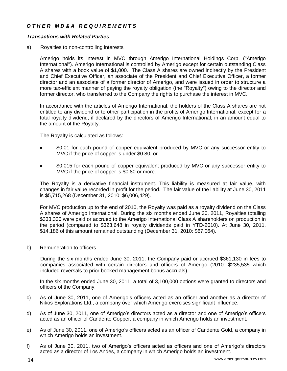# *O T H E R M D & A R E Q U I R E M E N T S*

## *Transactions with Related Parties*

a) Royalties to non-controlling interests

Amerigo holds its interest in MVC through Amerigo International Holdings Corp. ("Amerigo International"). Amerigo International is controlled by Amerigo except for certain outstanding Class A shares with a book value of \$1,000. The Class A shares are owned indirectly by the President and Chief Executive Officer, an associate of the President and Chief Executive Officer, a former director and an associate of a former director of Amerigo, and were issued in order to structure a more tax-efficient manner of paying the royalty obligation (the "Royalty") owing to the director and former director, who transferred to the Company the rights to purchase the interest in MVC.

In accordance with the articles of Amerigo International, the holders of the Class A shares are not entitled to any dividend or to other participation in the profits of Amerigo International, except for a total royalty dividend, if declared by the directors of Amerigo International, in an amount equal to the amount of the Royalty.

The Royalty is calculated as follows:

- \$0.01 for each pound of copper equivalent produced by MVC or any successor entity to MVC if the price of copper is under \$0.80, or
- \$0.015 for each pound of copper equivalent produced by MVC or any successor entity to MVC if the price of copper is \$0.80 or more.

The Royalty is a derivative financial instrument. This liability is measured at fair value, with changes in fair value recorded in profit for the period. The fair value of the liability at June 30, 2011 is \$5,715,268 (December 31, 2010: \$6,006,429).

For MVC production up to the end of 2010, the Royalty was paid as a royalty dividend on the Class A shares of Amerigo International. During the six months ended June 30, 2011, Royalties totalling \$333,336 were paid or accrued to the Amerigo International Class A shareholders on production in the period (compared to \$323,648 in royalty dividends paid in YTD-2010). At June 30, 2011, \$14,186 of this amount remained outstanding (December 31, 2010: \$67,064).

b) Remuneration to officers

During the six months ended June 30, 2011, the Company paid or accrued \$361,130 in fees to companies associated with certain directors and officers of Amerigo (2010: \$235,535 which included reversals to prior booked management bonus accruals).

In the six months ended June 30, 2011, a total of 3,100,000 options were granted to directors and officers of the Company.

- c) As of June 30, 2011, one of Amerigo's officers acted as an officer and another as a director of Nikos Explorations Ltd., a company over which Amerigo exercises significant influence.
- d) As of June 30, 2011, one of Amerigo's directors acted as a director and one of Amerigo's officers acted as an officer of Candente Copper, a company in which Amerigo holds an investment.
- e) As of June 30, 2011, one of Amerigo's officers acted as an officer of Candente Gold, a company in which Amerigo holds an investment.
- f) As of June 30, 2011, two of Amerigo's officers acted as officers and one of Amerigo's directors acted as a director of Los Andes, a company in which Amerigo holds an investment.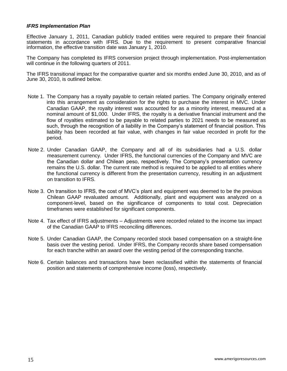## *IFRS Implementation Plan*

Effective January 1, 2011, Canadian publicly traded entities were required to prepare their financial statements in accordance with IFRS. Due to the requirement to present comparative financial information, the effective transition date was January 1, 2010.

The Company has completed its IFRS conversion project through implementation. Post-implementation will continue in the following quarters of 2011.

The IFRS transitional impact for the comparative quarter and six months ended June 30, 2010, and as of June 30, 2010, is outlined below.

- Note 1. The Company has a royalty payable to certain related parties. The Company originally entered into this arrangement as consideration for the rights to purchase the interest in MVC. Under Canadian GAAP, the royalty interest was accounted for as a minority interest, measured at a nominal amount of \$1,000. Under IFRS, the royalty is a derivative financial instrument and the flow of royalties estimated to be payable to related parties to 2021 needs to be measured as such, through the recognition of a liability in the Company's statement of financial position. This liability has been recorded at fair value, with changes in fair value recorded in profit for the period.
- Note 2. Under Canadian GAAP, the Company and all of its subsidiaries had a U.S. dollar measurement currency. Under IFRS, the functional currencies of the Company and MVC are the Canadian dollar and Chilean peso, respectively. The Company's presentation currency remains the U.S. dollar. The current rate method is required to be applied to all entities where the functional currency is different from the presentation currency, resulting in an adjustment on transition to IFRS.
- Note 3. On transition to IFRS, the cost of MVC's plant and equipment was deemed to be the previous Chilean GAAP revaluated amount. Additionally, plant and equipment was analyzed on a component-level, based on the significance of components to total cost. Depreciation timeframes were established for significant components.
- Note 4. Tax effect of IFRS adjustments Adjustments were recorded related to the income tax impact of the Canadian GAAP to IFRS reconciling differences.
- Note 5. Under Canadian GAAP, the Company recorded stock based compensation on a straight-line basis over the vesting period. Under IFRS, the Company records share based compensation for each tranche within an award over the vesting period of the corresponding tranche.
- Note 6. Certain balances and transactions have been reclassified within the statements of financial position and statements of comprehensive income (loss), respectively.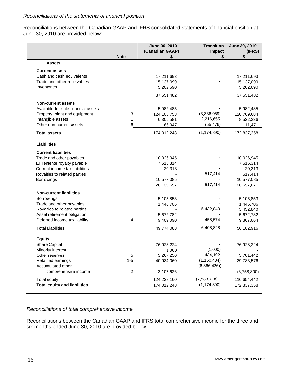Reconciliations between the Canadian GAAP and IFRS consolidated statements of financial position at June 30, 2010 are provided below:

|                                     | <b>Note</b>             | June 30, 2010<br>(Canadian GAAP)<br>\$ | <b>Transition</b><br>Impact<br>\$ | June 30, 2010<br>(IFRS)<br>\$ |
|-------------------------------------|-------------------------|----------------------------------------|-----------------------------------|-------------------------------|
| <b>Assets</b>                       |                         |                                        |                                   |                               |
| <b>Current assets</b>               |                         |                                        |                                   |                               |
| Cash and cash equivalents           |                         | 17,211,693                             |                                   | 17,211,693                    |
| Trade and other receivables         |                         | 15,137,099                             |                                   | 15,137,099                    |
| Inventories                         |                         | 5,202,690                              |                                   | 5,202,690                     |
|                                     |                         | 37,551,482                             |                                   | 37,551,482                    |
| <b>Non-current assets</b>           |                         |                                        |                                   |                               |
| Available-for-sale financial assets |                         | 5,982,485                              |                                   | 5,982,485                     |
| Property, plant and equipment       | 3                       | 124,105,753                            | (3,336,069)                       | 120,769,684                   |
| Intangible assets                   | 1                       | 6,305,581                              | 2,216,655                         | 8,522,236                     |
| Other non-current assets            | 6                       | 66,947                                 | (55, 476)                         | 11,471                        |
| <b>Total assets</b>                 |                         | 174,012,248                            | (1, 174, 890)                     | 172,837,358                   |
|                                     |                         |                                        |                                   |                               |
| <b>Liabilities</b>                  |                         |                                        |                                   |                               |
| <b>Current liabilities</b>          |                         |                                        |                                   |                               |
| Trade and other payables            |                         | 10,026,945                             |                                   | 10,026,945                    |
| El Teniente royalty payable         |                         | 7,515,314                              |                                   | 7,515,314                     |
| Current income tax liabilities      |                         | 20,313                                 |                                   | 20,313                        |
| Royalties to related parties        | 1                       |                                        | 517,414                           | 517,414                       |
| Borrowings                          |                         | 10,577,085                             |                                   | 10,577,085                    |
|                                     |                         | 28,139,657                             | 517,414                           | 28,657,071                    |
| <b>Non-current liabilities</b>      |                         |                                        |                                   |                               |
| Borrowings                          |                         | 5,105,853                              |                                   | 5,105,853                     |
| Trade and other payables            |                         | 1,446,706                              |                                   | 1,446,706                     |
| Royalties to related parties        | 1                       |                                        | 5,432,840                         | 5,432,840                     |
| Asset retirement obligation         |                         | 5,672,782                              |                                   | 5,672,782                     |
| Deferred income tax liability       |                         | 9,409,090                              | 458,574                           | 9,867,664                     |
| <b>Total Liabilities</b>            |                         | 49,774,088                             | 6,408,828                         | 56,182,916                    |
| <b>Equity</b>                       |                         |                                        |                                   |                               |
| Share Capital                       |                         | 76,928,224                             |                                   | 76,928,224                    |
| Minority interest                   | 1                       | 1,000                                  | (1,000)                           |                               |
| Other reserves                      | 5                       | 3,267,250                              | 434,192                           | 3,701,442                     |
| Retained earnings                   | $1 - 5$                 | 40,934,060                             | (1, 150, 484)                     | 39,783,576                    |
| Accumulated other                   |                         |                                        | (6,866,426)                       |                               |
| comprehensive income                | $\overline{\mathbf{c}}$ | 3,107,626                              |                                   | (3,758,800)                   |
|                                     |                         |                                        |                                   |                               |
| Total equity                        |                         | 124,238,160                            | (7,583,718)                       | 116,654,442                   |
| <b>Total equity and liabilities</b> |                         | 174,012,248                            | (1, 174, 890)                     | 172,837,358                   |

# *Reconciliations of total comprehensive income*

Reconciliations between the Canadian GAAP and IFRS total comprehensive income for the three and six months ended June 30, 2010 are provided below.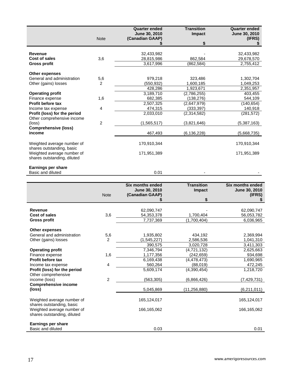|                                                                                        | <b>Note</b>             | <b>Quarter ended</b><br>June 30, 2010<br>(Canadian GAAP) | <b>Transition</b><br>Impact | <b>Quarter ended</b><br>June 30, 2010<br>(IFRS) |
|----------------------------------------------------------------------------------------|-------------------------|----------------------------------------------------------|-----------------------------|-------------------------------------------------|
|                                                                                        |                         |                                                          | \$                          |                                                 |
| Revenue<br><b>Cost of sales</b>                                                        | 3,6                     | 32,433,982<br>28,815,986                                 | 862,584                     | 32,433,982<br>29,678,570                        |
| <b>Gross profit</b>                                                                    |                         | 3,617,996                                                | (862, 584)                  | 2,755,412                                       |
| <b>Other expenses</b>                                                                  |                         |                                                          |                             |                                                 |
| General and administration                                                             | 5,6                     | 979,218                                                  | 323,486                     | 1,302,704                                       |
| Other (gains) losses                                                                   | 2                       | (550, 932)                                               | 1,600,185                   | 1,049,253                                       |
|                                                                                        |                         | 428,286                                                  | 1,923,671                   | 2,351,957                                       |
| <b>Operating profit</b><br>Finance expense                                             | 1,6                     | 3,189,710<br>682,385                                     | (2,786,255)<br>(138, 276)   | 403,455<br>544,109                              |
| <b>Profit before tax</b>                                                               |                         | 2,507,325                                                | (2,647,979)                 | (140, 654)                                      |
| Income tax expense                                                                     | 4                       | 474,315                                                  | (333, 397)                  | 140,918                                         |
| Profit (loss) for the period                                                           |                         | 2,033,010                                                | (2,314,582)                 | (281, 572)                                      |
| Other comprehensive income                                                             |                         |                                                          |                             |                                                 |
| (loss)<br><b>Comprehensive (loss)</b>                                                  | 2                       | (1,565,517)                                              | (3,821,646)                 | (5,387,163)                                     |
| income                                                                                 |                         | 467,493                                                  | (6, 136, 228)               | (5,668,735)                                     |
|                                                                                        |                         |                                                          |                             |                                                 |
| Weighted average number of                                                             |                         | 170,910,344                                              |                             | 170,910,344                                     |
| shares outstanding, basic<br>Weighted average number of<br>shares outstanding, diluted |                         | 171,951,389                                              |                             | 171,951,389                                     |
| <b>Earnings per share</b><br>Basic and diluted                                         |                         | 0.01                                                     |                             |                                                 |
|                                                                                        |                         |                                                          |                             |                                                 |
|                                                                                        |                         | <b>Six months ended</b><br>June 30, 2010                 | <b>Transition</b><br>Impact | <b>Six months ended</b><br>June 30, 2010        |
|                                                                                        | <b>Note</b>             | (Canadian GAAP)<br>\$                                    | \$                          | (IFRS)<br>\$                                    |
|                                                                                        |                         |                                                          |                             |                                                 |
| <b>Revenue</b>                                                                         |                         | 62,090,747                                               |                             | 62,090,747                                      |
| Cost of sales                                                                          | 3,6                     | 54,353,378                                               | 1,700,404                   | 56,053,782                                      |
| <b>Gross profit</b>                                                                    |                         | 7,737,369                                                | (1,700,404)                 | 6,036,965                                       |
| <b>Other expenses</b>                                                                  |                         |                                                          |                             |                                                 |
| General and administration                                                             | 5,6                     | 1,935,802                                                | 434,192                     | 2,369,994                                       |
| Other (gains) losses                                                                   | $\overline{c}$          | (1,545,227)                                              | 2,586,536                   | 1,041,310                                       |
| <b>Operating profit</b>                                                                |                         | 390,575<br>7,346,794                                     | 3,020,728                   | 3,411,303                                       |
| Finance expense                                                                        | 1,6                     | 1,177,356                                                | (4, 721, 132)<br>(242, 659) | 2,625,663<br>934,698                            |
| Profit before tax                                                                      |                         | 6,169,438                                                | (4, 478, 473)               | 1,690,965                                       |
| Income tax expense                                                                     | 4                       | 560,264                                                  | (88,019)                    | 472,245                                         |
| Profit (loss) for the period                                                           |                         | 5,609,174                                                | (4,390,454)                 | 1,218,720                                       |
| Other comprehensive<br>income (loss)                                                   | $\overline{\mathbf{c}}$ | (563, 305)                                               | (6,866,426)                 | (7, 429, 731)                                   |
| <b>Comprehensive income</b>                                                            |                         |                                                          |                             |                                                 |
| (loss)                                                                                 |                         | 5,045,869                                                | (11, 256, 880)              | (6,211,011)                                     |
| Weighted average number of<br>shares outstanding, basic                                |                         | 165,124,017                                              |                             | 165,124,017                                     |
| Weighted average number of<br>shares outstanding, diluted                              |                         | 166,165,062                                              |                             | 166,165,062                                     |
| <b>Earnings per share</b><br>Basic and diluted                                         |                         | 0.03                                                     |                             | 0.01                                            |